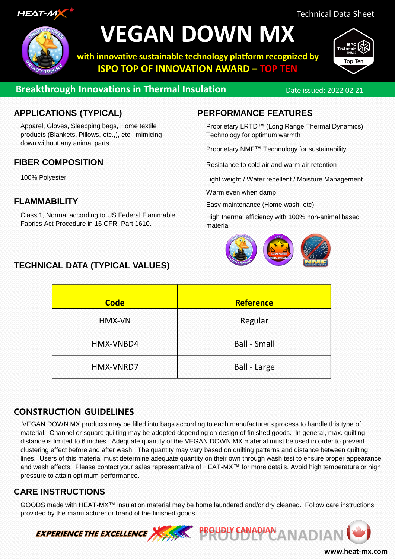

## **VEGAN DOWN MX**

**with innovative sustainable technology platform recognized by ISPO TOP OF INNOVATION AWARD – TOP TEN**



Top Ter

### **Breakthrough Innovations in Thermal Insulation** Date issued: 2022 02 21

#### **APPLICATIONS (TYPICAL)**

Apparel, Gloves, Sleepping bags, Home textile products (Blankets, Pillows, etc.,), etc., mimicing down without any animal parts

#### **FIBER COMPOSITION**

100% Polyester

#### **FLAMMABILITY**

Class 1, Normal according to US Federal Flammable Fabrics Act Procedure in 16 CFR Part 1610.

#### **TECHNICAL DATA (TYPICAL VALUES)**

#### **PERFORMANCE FEATURES**

Proprietary LRTD™ (Long Range Thermal Dynamics) Technology for optimum warmth

Proprietary NMF™ Technology for sustainability

Resistance to cold air and warm air retention

Light weight / Water repellent / Moisture Management

Warm even when damp

Easy maintenance (Home wash, etc)

High thermal efficiency with 100% non-animal based material



| <b>Code</b> | <b>Reference</b>    |
|-------------|---------------------|
| HMX-VN      | Regular             |
| HMX-VNBD4   | <b>Ball - Small</b> |
| HMX-VNRD7   | Ball - Large        |

#### **CONSTRUCTION GUIDELINES**

VEGAN DOWN MX products may be filled into bags according to each manufacturer's process to handle this type of material. Channel or square quilting may be adopted depending on design of finished goods. In general, max. quilting distance is limited to 6 inches. Adequate quantity of the VEGAN DOWN MX material must be used in order to prevent clustering effect before and after wash. The quantity may vary based on quilting patterns and distance between quilting lines. Users of this material must determine adequate quantity on their own through wash test to ensure proper appearance and wash effects. Please contact your sales representative of HEAT-MX™ for more details. Avoid high temperature or high pressure to attain optimum performance.

#### **CARE INSTRUCTIONS**

GOODS made with HEAT-MX™ insulation material may be home laundered and/or dry cleaned. Follow care instructions provided by the manufacturer or brand of the finished goods.



**www.heat-mx.com**